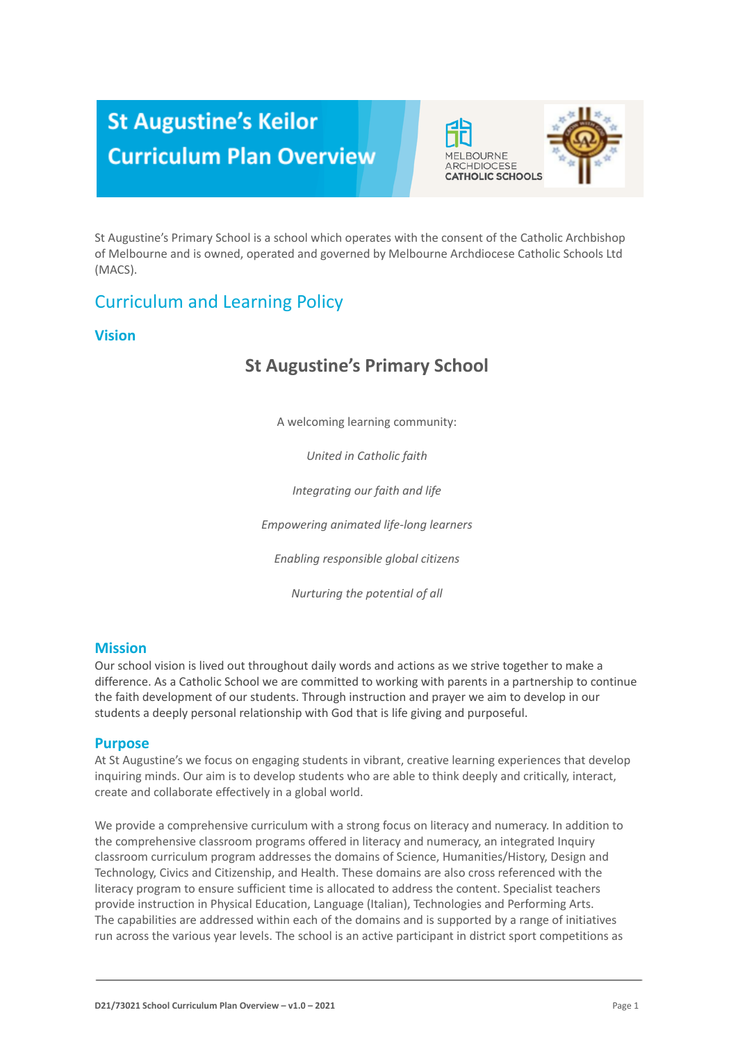# **St Augustine's Keilor Curriculum Plan Overview**



St Augustine's Primary School is a school which operates with the consent of the Catholic Archbishop of Melbourne and is owned, operated and governed by Melbourne Archdiocese Catholic Schools Ltd (MACS).

### Curriculum and Learning Policy

#### **Vision**

# **St Augustine's Primary School**

A welcoming learning community:

*United in Catholic faith*

*Integrating our faith and life*

*Empowering animated life-long learners*

*Enabling responsible global citizens*

*Nurturing the potential of all*

#### **Mission**

Our school vision is lived out throughout daily words and actions as we strive together to make a difference. As a Catholic School we are committed to working with parents in a partnership to continue the faith development of our students. Through instruction and prayer we aim to develop in our students a deeply personal relationship with God that is life giving and purposeful.

#### **Purpose**

At St Augustine's we focus on engaging students in vibrant, creative learning experiences that develop inquiring minds. Our aim is to develop students who are able to think deeply and critically, interact, create and collaborate effectively in a global world.

We provide a comprehensive curriculum with a strong focus on literacy and numeracy. In addition to the comprehensive classroom programs offered in literacy and numeracy, an integrated Inquiry classroom curriculum program addresses the domains of Science, Humanities/History, Design and Technology, Civics and Citizenship, and Health. These domains are also cross referenced with the literacy program to ensure sufficient time is allocated to address the content. Specialist teachers provide instruction in Physical Education, Language (Italian), Technologies and Performing Arts. The capabilities are addressed within each of the domains and is supported by a range of initiatives run across the various year levels. The school is an active participant in district sport competitions as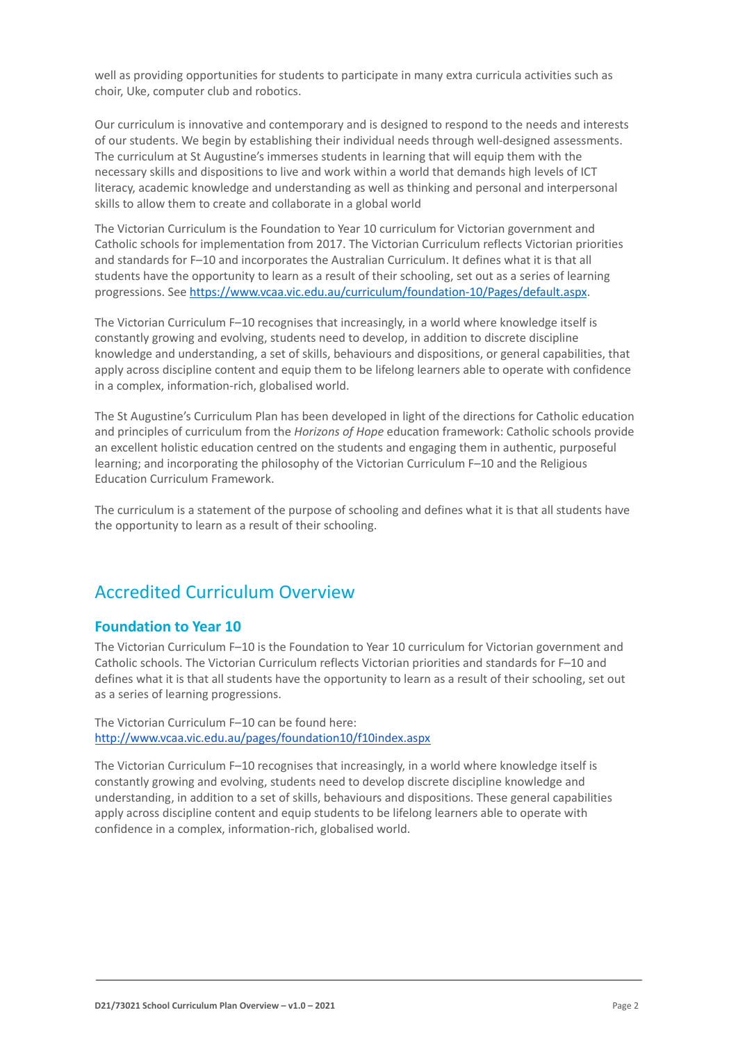well as providing opportunities for students to participate in many extra curricula activities such as choir, Uke, computer club and robotics.

Our curriculum is innovative and contemporary and is designed to respond to the needs and interests of our students. We begin by establishing their individual needs through well-designed assessments. The curriculum at St Augustine's immerses students in learning that will equip them with the necessary skills and dispositions to live and work within a world that demands high levels of ICT literacy, academic knowledge and understanding as well as thinking and personal and interpersonal skills to allow them to create and collaborate in a global world

The Victorian Curriculum is the Foundation to Year 10 curriculum for Victorian government and Catholic schools for implementation from 2017. The Victorian Curriculum reflects Victorian priorities and standards for F–10 and incorporates the Australian Curriculum. It defines what it is that all students have the opportunity to learn as a result of their schooling, set out as a series of learning progressions. See <https://www.vcaa.vic.edu.au/curriculum/foundation-10/Pages/default.aspx>.

The Victorian Curriculum F–10 recognises that increasingly, in a world where knowledge itself is constantly growing and evolving, students need to develop, in addition to discrete discipline knowledge and understanding, a set of skills, behaviours and dispositions, or general capabilities, that apply across discipline content and equip them to be lifelong learners able to operate with confidence in a complex, information-rich, globalised world.

The St Augustine's Curriculum Plan has been developed in light of the directions for Catholic education and principles of curriculum from the *Horizons of Hope* education framework: Catholic schools provide an excellent holistic education centred on the students and engaging them in authentic, purposeful learning; and incorporating the philosophy of the Victorian Curriculum F–10 and the Religious Education Curriculum Framework.

The curriculum is a statement of the purpose of schooling and defines what it is that all students have the opportunity to learn as a result of their schooling.

### Accredited Curriculum Overview

#### **Foundation to Year 10**

The Victorian Curriculum F–10 is the Foundation to Year 10 curriculum for Victorian government and Catholic schools. The Victorian Curriculum reflects Victorian priorities and standards for F–10 and defines what it is that all students have the opportunity to learn as a result of their schooling, set out as a series of learning progressions.

The Victorian Curriculum F–10 can be found here: <http://www.vcaa.vic.edu.au/pages/foundation10/f10index.aspx>

The Victorian Curriculum F–10 recognises that increasingly, in a world where knowledge itself is constantly growing and evolving, students need to develop discrete discipline knowledge and understanding, in addition to a set of skills, behaviours and dispositions. These general capabilities apply across discipline content and equip students to be lifelong learners able to operate with confidence in a complex, information-rich, globalised world.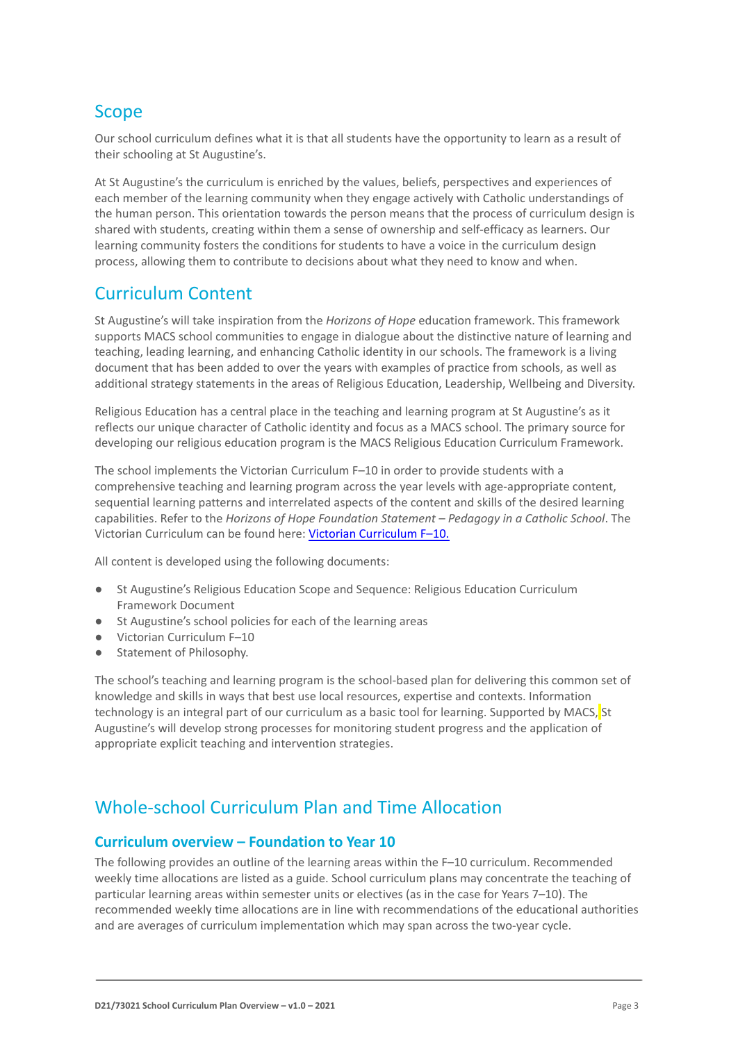# Scope

Our school curriculum defines what it is that all students have the opportunity to learn as a result of their schooling at St Augustine's.

At St Augustine's the curriculum is enriched by the values, beliefs, perspectives and experiences of each member of the learning community when they engage actively with Catholic understandings of the human person. This orientation towards the person means that the process of curriculum design is shared with students, creating within them a sense of ownership and self-efficacy as learners. Our learning community fosters the conditions for students to have a voice in the curriculum design process, allowing them to contribute to decisions about what they need to know and when.

### Curriculum Content

St Augustine's will take inspiration from the *Horizons of Hope* education framework. This framework supports MACS school communities to engage in dialogue about the distinctive nature of learning and teaching, leading learning, and enhancing Catholic identity in our schools. The framework is a living document that has been added to over the years with examples of practice from schools, as well as additional strategy statements in the areas of Religious Education, Leadership, Wellbeing and Diversity.

Religious Education has a central place in the teaching and learning program at St Augustine's as it reflects our unique character of Catholic identity and focus as a MACS school. The primary source for developing our religious education program is the MACS Religious Education Curriculum Framework.

The school implements the Victorian Curriculum F–10 in order to provide students with a comprehensive teaching and learning program across the year levels with age-appropriate content, sequential learning patterns and interrelated aspects of the content and skills of the desired learning capabilities. Refer to the *Horizons of Hope Foundation Statement – Pedagogy in a Catholic School*. The Victorian Curriculum can be found here: Victorian [Curriculum F–10](https://victoriancurriculum.vcaa.vic.edu.au/).

All content is developed using the following documents:

- St Augustine's Religious Education Scope and Sequence: Religious Education Curriculum Framework Document
- St Augustine's school policies for each of the learning areas
- Victorian Curriculum F-10
- Statement of Philosophy.

The school's teaching and learning program is the school-based plan for delivering this common set of knowledge and skills in ways that best use local resources, expertise and contexts. Information technology is an integral part of our curriculum as a basic tool for learning. Supported by MACS, St Augustine's will develop strong processes for monitoring student progress and the application of appropriate explicit teaching and intervention strategies.

# Whole-school Curriculum Plan and Time Allocation

#### **Curriculum overview – Foundation to Year 10**

The following provides an outline of the learning areas within the F–10 curriculum. Recommended weekly time allocations are listed as a guide. School curriculum plans may concentrate the teaching of particular learning areas within semester units or electives (as in the case for Years 7–10). The recommended weekly time allocations are in line with recommendations of the educational authorities and are averages of curriculum implementation which may span across the two-year cycle.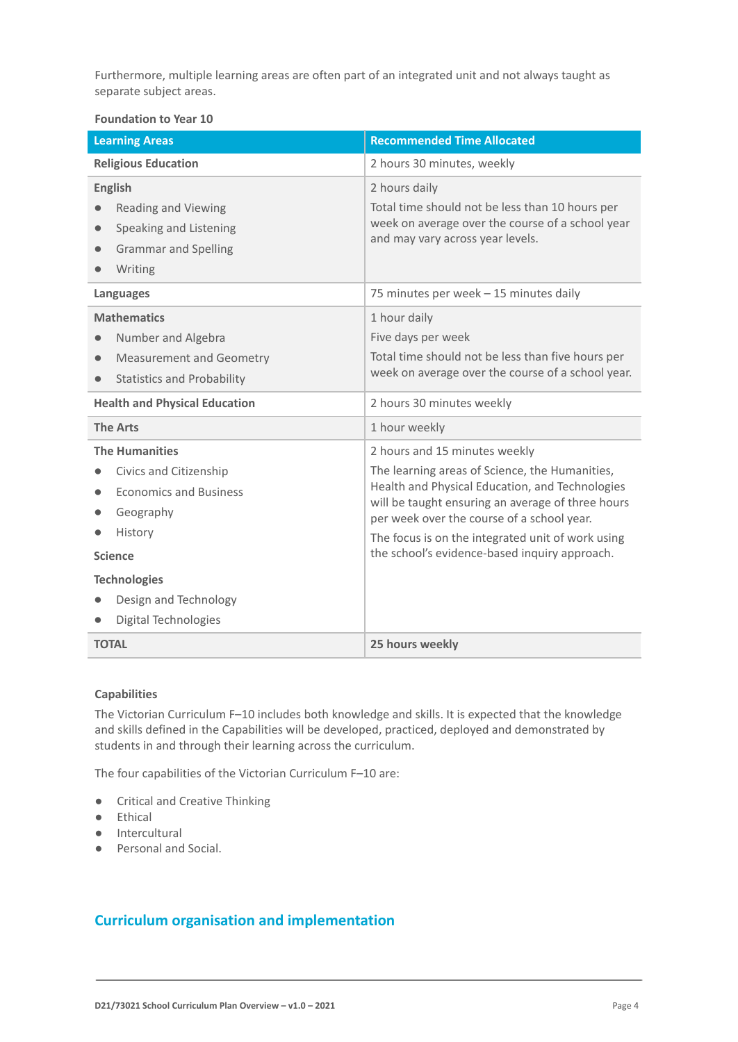Furthermore, multiple learning areas are often part of an integrated unit and not always taught as separate subject areas.

#### **Foundation to Year 10**

| <b>Learning Areas</b>                                                                                                                                                                                     | <b>Recommended Time Allocated</b>                                                                                                                                                                                                                                                                                                           |
|-----------------------------------------------------------------------------------------------------------------------------------------------------------------------------------------------------------|---------------------------------------------------------------------------------------------------------------------------------------------------------------------------------------------------------------------------------------------------------------------------------------------------------------------------------------------|
| <b>Religious Education</b>                                                                                                                                                                                | 2 hours 30 minutes, weekly                                                                                                                                                                                                                                                                                                                  |
| <b>English</b><br><b>Reading and Viewing</b><br>Speaking and Listening<br><b>Grammar and Spelling</b><br>Writing                                                                                          | 2 hours daily<br>Total time should not be less than 10 hours per<br>week on average over the course of a school year<br>and may vary across year levels.                                                                                                                                                                                    |
| Languages                                                                                                                                                                                                 | 75 minutes per week - 15 minutes daily                                                                                                                                                                                                                                                                                                      |
| <b>Mathematics</b><br>Number and Algebra<br><b>Measurement and Geometry</b><br>$\bullet$<br><b>Statistics and Probability</b>                                                                             | 1 hour daily<br>Five days per week<br>Total time should not be less than five hours per<br>week on average over the course of a school year.                                                                                                                                                                                                |
| <b>Health and Physical Education</b>                                                                                                                                                                      | 2 hours 30 minutes weekly                                                                                                                                                                                                                                                                                                                   |
| <b>The Arts</b>                                                                                                                                                                                           | 1 hour weekly                                                                                                                                                                                                                                                                                                                               |
| <b>The Humanities</b><br>Civics and Citizenship<br><b>Economics and Business</b><br>Geography<br>History<br><b>Science</b><br><b>Technologies</b><br>Design and Technology<br><b>Digital Technologies</b> | 2 hours and 15 minutes weekly<br>The learning areas of Science, the Humanities,<br>Health and Physical Education, and Technologies<br>will be taught ensuring an average of three hours<br>per week over the course of a school year.<br>The focus is on the integrated unit of work using<br>the school's evidence-based inquiry approach. |
| <b>TOTAL</b>                                                                                                                                                                                              | 25 hours weekly                                                                                                                                                                                                                                                                                                                             |

#### **Capabilities**

The Victorian Curriculum F–10 includes both knowledge and skills. It is expected that the knowledge and skills defined in the Capabilities will be developed, practiced, deployed and demonstrated by students in and through their learning across the curriculum.

The four capabilities of the Victorian Curriculum F–10 are:

- Critical and Creative Thinking
- Ethical
- Intercultural
- Personal and Social.

### **Curriculum organisation and implementation**